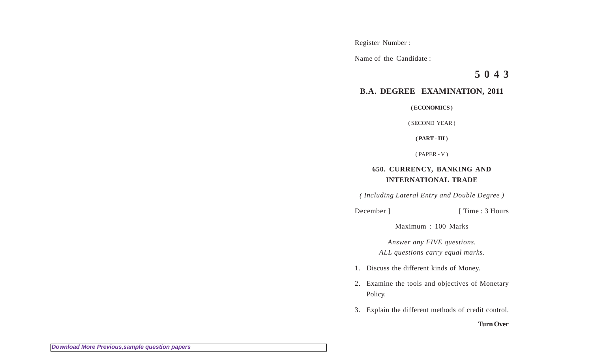Register Number :

Name of the Candidate :

**5 0 4 3**

## **B.A. DEGREE EXAMINATION, 2011**

**( ECONOMICS )**

( SECOND YEAR )

**( PART - III )**

( PAPER - V )

## **650. CURRENCY, BANKING AND INTERNATIONAL TRADE**

*( Including Lateral Entry and Double Degree )*

December ] [ Time : 3 Hours

Maximum : 100 Marks

*Answer any FIVE questions. ALL questions carry equal marks.*

- 1. Discuss the different kinds of Money.
- 2. Examine the tools and objectives of Monetary Policy.
- 3. Explain the different methods of credit control.

## **Turn Over**